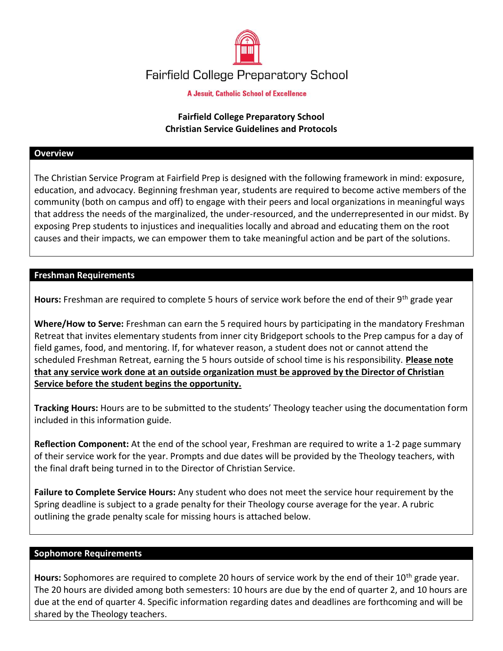

**A Jesuit, Catholic School of Excellence** 

# **Fairfield College Preparatory School Christian Service Guidelines and Protocols**

#### **Overview**

The Christian Service Program at Fairfield Prep is designed with the following framework in mind: exposure, education, and advocacy. Beginning freshman year, students are required to become active members of the community (both on campus and off) to engage with their peers and local organizations in meaningful ways that address the needs of the marginalized, the under-resourced, and the underrepresented in our midst. By exposing Prep students to injustices and inequalities locally and abroad and educating them on the root causes and their impacts, we can empower them to take meaningful action and be part of the solutions.

### **Freshman Requirements**

**Hours:** Freshman are required to complete 5 hours of service work before the end of their 9th grade year

**Where/How to Serve:** Freshman can earn the 5 required hours by participating in the mandatory Freshman Retreat that invites elementary students from inner city Bridgeport schools to the Prep campus for a day of field games, food, and mentoring. If, for whatever reason, a student does not or cannot attend the scheduled Freshman Retreat, earning the 5 hours outside of school time is his responsibility. **Please note that any service work done at an outside organization must be approved by the Director of Christian Service before the student begins the opportunity.** 

**Tracking Hours:** Hours are to be submitted to the students' Theology teacher using the documentation form included in this information guide.

**Reflection Component:** At the end of the school year, Freshman are required to write a 1-2 page summary of their service work for the year. Prompts and due dates will be provided by the Theology teachers, with the final draft being turned in to the Director of Christian Service.

**Failure to Complete Service Hours:** Any student who does not meet the service hour requirement by the Spring deadline is subject to a grade penalty for their Theology course average for the year. A rubric outlining the grade penalty scale for missing hours is attached below.

#### **Sophomore Requirements**

Hours: Sophomores are required to complete 20 hours of service work by the end of their 10<sup>th</sup> grade year. The 20 hours are divided among both semesters: 10 hours are due by the end of quarter 2, and 10 hours are due at the end of quarter 4. Specific information regarding dates and deadlines are forthcoming and will be shared by the Theology teachers.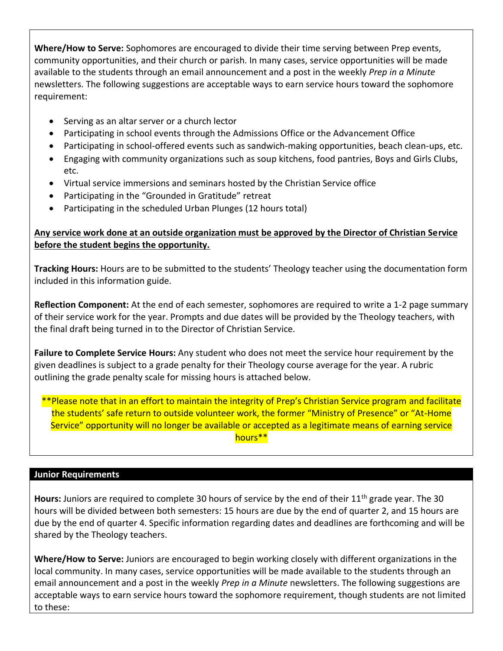**Where/How to Serve:** Sophomores are encouraged to divide their time serving between Prep events, community opportunities, and their church or parish. In many cases, service opportunities will be made available to the students through an email announcement and a post in the weekly *Prep in a Minute* newsletters. The following suggestions are acceptable ways to earn service hours toward the sophomore requirement:

- Serving as an altar server or a church lector
- Participating in school events through the Admissions Office or the Advancement Office
- Participating in school-offered events such as sandwich-making opportunities, beach clean-ups, etc.
- Engaging with community organizations such as soup kitchens, food pantries, Boys and Girls Clubs, etc.
- Virtual service immersions and seminars hosted by the Christian Service office
- Participating in the "Grounded in Gratitude" retreat
- Participating in the scheduled Urban Plunges (12 hours total)

# **Any service work done at an outside organization must be approved by the Director of Christian Service before the student begins the opportunity.**

**Tracking Hours:** Hours are to be submitted to the students' Theology teacher using the documentation form included in this information guide.

**Reflection Component:** At the end of each semester, sophomores are required to write a 1-2 page summary of their service work for the year. Prompts and due dates will be provided by the Theology teachers, with the final draft being turned in to the Director of Christian Service.

**Failure to Complete Service Hours:** Any student who does not meet the service hour requirement by the given deadlines is subject to a grade penalty for their Theology course average for the year. A rubric outlining the grade penalty scale for missing hours is attached below.

\*\*Please note that in an effort to maintain the integrity of Prep's Christian Service program and facilitate the students' safe return to outside volunteer work, the former "Ministry of Presence" or "At-Home Service" opportunity will no longer be available or accepted as a legitimate means of earning service hours\*\*

## **Junior Requirements**

**Hours:** Juniors are required to complete 30 hours of service by the end of their 11th grade year. The 30 hours will be divided between both semesters: 15 hours are due by the end of quarter 2, and 15 hours are due by the end of quarter 4. Specific information regarding dates and deadlines are forthcoming and will be shared by the Theology teachers.

**Where/How to Serve:** Juniors are encouraged to begin working closely with different organizations in the local community. In many cases, service opportunities will be made available to the students through an email announcement and a post in the weekly *Prep in a Minute* newsletters. The following suggestions are acceptable ways to earn service hours toward the sophomore requirement, though students are not limited to these: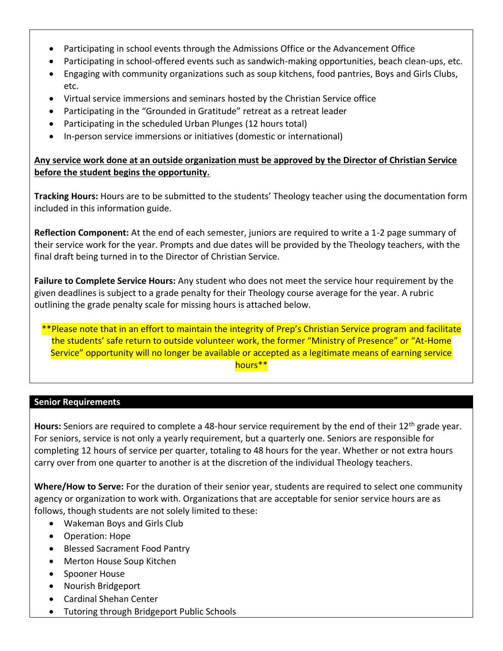- Participating in school events through the Admissions Office or the Advancement Office
- Participating in school-offered events such as sandwich-making opportunities, beach clean-ups, etc.
- Engaging with community organizations such as soup kitchens, food pantries, Boys and Girls Clubs, etc.
- Virtual service immersions and seminars hosted by the Christian Service office
- Participating in the "Grounded in Gratitude" retreat as a retreat leader
- Participating in the scheduled Urban Plunges (12 hours total)
- In-person service immersions or initiatives (domestic or international)

# **Any service work done at an outside organization must be approved by the Director of Christian Service before the student begins the opportunity.**

**Tracking Hours:** Hours are to be submitted to the students' Theology teacher using the documentation form included in this information guide.

**Reflection Component:** At the end of each semester, juniors are required to write a 1-2 page summary of their service work for the year. Prompts and due dates will be provided by the Theology teachers, with the final draft being turned in to the Director of Christian Service.

**Failure to Complete Service Hours:** Any student who does not meet the service hour requirement by the given deadlines is subject to a grade penalty for their Theology course average for the year. A rubric outlining the grade penalty scale for missing hours is attached below.

\*\*Please note that in an effort to maintain the integrity of Prep's Christian Service program and facilitate the students' safe return to outside volunteer work, the former "Ministry of Presence" or "At-Home Service" opportunity will no longer be available or accepted as a legitimate means of earning service hours\*\*

## **Senior Requirements**

Hours: Seniors are required to complete a 48-hour service requirement by the end of their 12<sup>th</sup> grade year. For seniors, service is not only a yearly requirement, but a quarterly one. Seniors are responsible for completing 12 hours of service per quarter, totaling to 48 hours for the year. Whether or not extra hours carry over from one quarter to another is at the discretion of the individual Theology teachers.

**Where/How to Serve:** For the duration of their senior year, students are required to select one community agency or organization to work with. Organizations that are acceptable for senior service hours are as follows, though students are not solely limited to these:

- Wakeman Boys and Girls Club
- Operation: Hope
- Blessed Sacrament Food Pantry
- Merton House Soup Kitchen
- Spooner House
- Nourish Bridgeport
- Cardinal Shehan Center
- Tutoring through Bridgeport Public Schools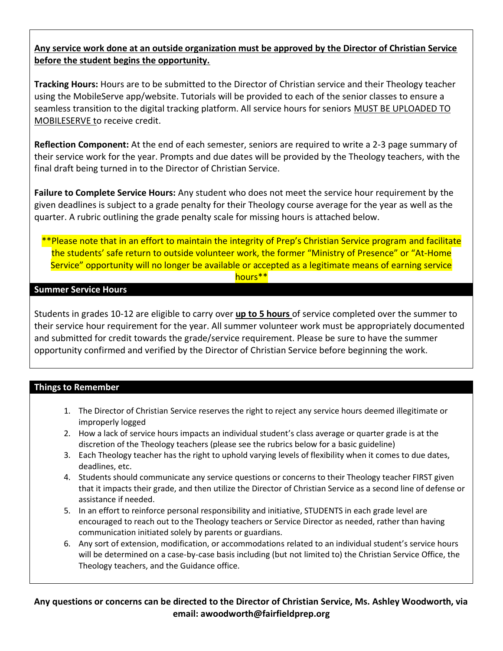# **Any service work done at an outside organization must be approved by the Director of Christian Service before the student begins the opportunity.**

**Tracking Hours:** Hours are to be submitted to the Director of Christian service and their Theology teacher using the MobileServe app/website. Tutorials will be provided to each of the senior classes to ensure a seamless transition to the digital tracking platform. All service hours for seniors MUST BE UPLOADED TO MOBILESERVE to receive credit.

**Reflection Component:** At the end of each semester, seniors are required to write a 2-3 page summary of their service work for the year. Prompts and due dates will be provided by the Theology teachers, with the final draft being turned in to the Director of Christian Service.

**Failure to Complete Service Hours:** Any student who does not meet the service hour requirement by the given deadlines is subject to a grade penalty for their Theology course average for the year as well as the quarter. A rubric outlining the grade penalty scale for missing hours is attached below.

### \*\*Please note that in an effort to maintain the integrity of Prep's Christian Service program and facilitate the students' safe return to outside volunteer work, the former "Ministry of Presence" or "At-Home Service" opportunity will no longer be available or accepted as a legitimate means of earning service hours\*\*

### **Summer Service Hours**

Students in grades 10-12 are eligible to carry over **up to 5 hours** of service completed over the summer to their service hour requirement for the year. All summer volunteer work must be appropriately documented and submitted for credit towards the grade/service requirement. Please be sure to have the summer opportunity confirmed and verified by the Director of Christian Service before beginning the work.

## **Things to Remember**

- 1. The Director of Christian Service reserves the right to reject any service hours deemed illegitimate or improperly logged
- 2. How a lack of service hours impacts an individual student's class average or quarter grade is at the discretion of the Theology teachers (please see the rubrics below for a basic guideline)
- 3. Each Theology teacher has the right to uphold varying levels of flexibility when it comes to due dates, deadlines, etc.
- 4. Students should communicate any service questions or concerns to their Theology teacher FIRST given that it impacts their grade, and then utilize the Director of Christian Service as a second line of defense or assistance if needed.
- 5. In an effort to reinforce personal responsibility and initiative, STUDENTS in each grade level are encouraged to reach out to the Theology teachers or Service Director as needed, rather than having communication initiated solely by parents or guardians.
- 6. Any sort of extension, modification, or accommodations related to an individual student's service hours will be determined on a case-by-case basis including (but not limited to) the Christian Service Office, the Theology teachers, and the Guidance office.